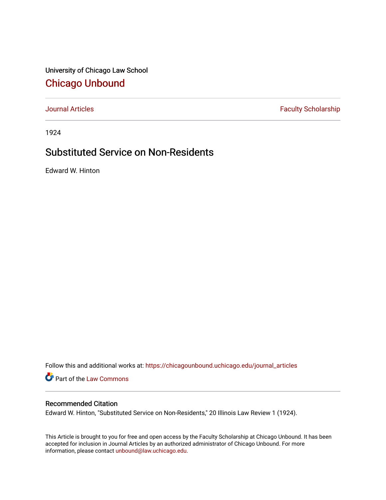University of Chicago Law School [Chicago Unbound](https://chicagounbound.uchicago.edu/)

[Journal Articles](https://chicagounbound.uchicago.edu/journal_articles) **Faculty Scholarship Faculty Scholarship** 

1924

## Substituted Service on Non-Residents

Edward W. Hinton

Follow this and additional works at: [https://chicagounbound.uchicago.edu/journal\\_articles](https://chicagounbound.uchicago.edu/journal_articles?utm_source=chicagounbound.uchicago.edu%2Fjournal_articles%2F9411&utm_medium=PDF&utm_campaign=PDFCoverPages) 

**Part of the [Law Commons](http://network.bepress.com/hgg/discipline/578?utm_source=chicagounbound.uchicago.edu%2Fjournal_articles%2F9411&utm_medium=PDF&utm_campaign=PDFCoverPages)** 

## Recommended Citation

Edward W. Hinton, "Substituted Service on Non-Residents," 20 Illinois Law Review 1 (1924).

This Article is brought to you for free and open access by the Faculty Scholarship at Chicago Unbound. It has been accepted for inclusion in Journal Articles by an authorized administrator of Chicago Unbound. For more information, please contact [unbound@law.uchicago.edu](mailto:unbound@law.uchicago.edu).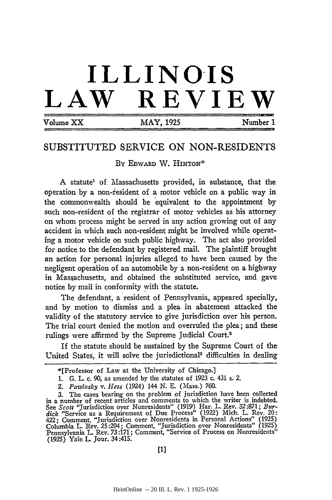## **ILLINOIS LAW REVIEW**

| Volume XX |  |
|-----------|--|
|-----------|--|

 $MAY$ , 1925  $Number 1$ 

## SUBSTITUTED SERVICE ON NON-RESIDENTS

By EDwARD W. HINTON\*

A statute<sup>1</sup> of Massachusetts provided, in substance, that the operation by a non-resident of a motor vehicle on a public way in the commonwealth should be equivalent to the appointment by such non-resident of the registrar of motor vehicles as his attorney on whom process might be served in any action growing out of any accident in which such non-resident might be involved while operating a motor vehicle on such public highway. The act also provided for notice to the defendant by registered mail. The plaintiff brought an action for personal injuries alleged to have been caused by the negligent operation of an automobile by a non-resident on a highway in Massachusetts, and obtained the substituted service, and gave notice by mail in conformity with the statute.

The defendant, a resident of Pennsylvania, appeared specially, and by motion to dismiss and a plea in abatement attacked the validity of the statutory service to give jurisdiction over his person. The trial court denied the motion and overruled the plea; and these rulings were affirmed by the Supreme Judicial Court.<sup>2</sup>

If the statute should be sustained by the Supreme Court of the United States, it will solve the jurisdictional<sup>3</sup> difficulties in dealing

<sup>\*[</sup>Professor of Law at the University of Chicago.]

<sup>1.</sup> G. L. c. 90, as amended by the statutes of 1923 c. 431 s. 2.

*<sup>2.</sup> Pawlosky v. Hess* (1924) 144 N. E. (Mass.) 760.

<sup>3.</sup> The cases bearing on the problem of jurisdiction have been collected in a number of recent articles and comments to which the writer is indebted. See *Scott* "Jurisdiction over Nonresidents" (1919) Har. L. Rev. 32:871; *Bur*dick "Service as a Requirement of Due Process" (1922) Mich. L. Rev. 20<br>422; Comment, "Jurisdiction over Nonresidents in Personal Actions" (1925) Columbia L. Rev. 25:204; Comment, "Jurisdiction over Nonresidents" (1925) Pennsylvania L. Rev. **73:171;** Comment, "Service of Process on Nonresidents" (1925) Yale L. Jour. 34:415.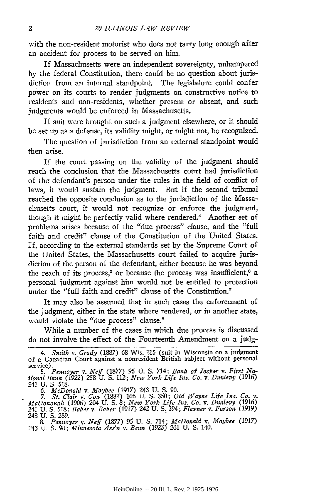with the non-resident motorist who does not tarry long enough after an accident for process to be served on him.

If Massachusetts were an independent sovereignty, unhampered by the federal Constitution, there could be no question about jurisdiction from an internal standpoint. The legislature could confer power on its courts to render judgments on constructive notice to residents and non-residents, whether present or absent, and such judgments would be enforced in Massachusetts.

If suit were brought on such a judgment elsewhere, or it should be set up as a defense, its validity might, or might not, be recognized.

The question of jurisdiction from an external standpoint would then arise.

If the court passing on the validity of the judgment should reach the conclusion that the Massachusetts court had jurisdiction of the defendant's person under the rules in the field of conflict of laws, it would sustain the judgment. But if the second tribunal reached the opposite conclusion as to the jurisdiction of the Massachusetts court, it would not recognize or enforce the judgment, though it might be perfectly valid where rendered.<sup>4</sup> Another set of problems arises because of the "due process" clause, and the "full faith and credit" clause of the Constitution of the United States. If, according to the external standards set by the Supreme Court of the United States, the Massachusetts court failed to acquire jurisdiction of the person of the defendant, either because he was beyond the reach of its process,<sup>5</sup> or because the process was insufficient,<sup>6</sup> a personal judgment against him would not be entitled to protection under the "full faith and credit" clause of the Constitution.<sup>7</sup>

It may also be assumed that in such cases the enforcement of the judgment, either in the state where rendered, or in another state, would violate the "due process" clause.<sup>8</sup>

While a number of the cases in which due process is discussed do not involve the effect of the Fourteenth Amendment on a judg-

*McDonough* (1906) 204 U. S. 8; *New York Life Ins. Co. v. Dunlevy* (1916) 241 U. S. 518; *Baker v. Baker* (1917) 242 U. **S.** 394; *Flexner v. Farson* (1919) 248 U. S. 289.

*8. Pennoyer v. Neff* (1877) 95 U. **S.** 714; *McDonald v. Maybee* (1917) 243 U. S. 90; *Minnesota Ass'n v. Bemn (1923)* 261 U. S. 140.

<sup>4.</sup> Smith v. Grady (1887) 68 Wis. 215 (suit in Wisconsin on a judgmen of a Canadian Court against a nonresident British subject without personal service).

*<sup>5.</sup> Pennoyer v. Neff* (1877) 95 **U. S.** 714; *Bank of Jasper v. First Na-tional Bank* (1922) 258 U. S. *112; New York Life Ins. Co. v. Dunlevy* (1916) 241 U. S. 518. *6. McDonald v. Maybee* (1917) *243* U. S. 90. *7. St. Clair v. Cox* (1882) 106 U. S. 350; *Old Wayne Life Ins. Co. v.*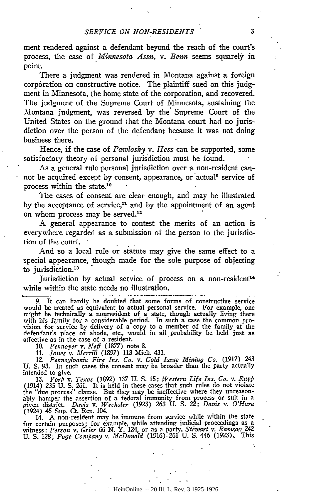ment rendered against a defendant beyond the reach of the court's process, the case of *Minnesota Assn. v. Benn* seems squarely in point.

There a judgment was rendered in Montana against a foreign corporation on constructive notice. The plaintiff sued on this judgment in Minnesota, the home state of the corporation, and recovered. The judgment of the Supreme Court of Minnesota, sustaining the Montana judgment, was reversed by the Supreme Court of the United States on the ground that the Montana court had no jurisdiction over the person of the defendant because it was not doing business there.

Hence, if the case of *Pawlosky v. Hess* can be supported, some satisfactory theory of personal jurisdiction must be found.

As a general rule personal jurisdiction over a non-resident cannot be acquired except by consent, appearance, or actual<sup>9</sup> service of process within the state,10

The cases of consent are clear enough, and may be illustrated by the acceptance of service,<sup>11</sup> and by the appointment of an agent on whom process may be served.12

A general appearance to contest the merits of an action is everywhere regarded as a submission of the person to the jurisdiction of the court.

And so a local rule or statute may give the same effect to a special appearance, though made for the sole purpose of objecting to jurisdiction.<sup>13</sup>

Jurisdiction by actual service of process on a non-resident<sup>14</sup> while within the state needs no illustration.

9. It can hardly be doubted that some forms of constructive service would be treated as equivalent to actual personal service. For example, one might be technically a nonresident of a state, though actually living there with his family for a considerable period. In such a case the common provision for service by delivery of a copy to a member of the family at the defendant's place of abode, etc., would in all probability be held just as affective as in the case of a resident.

**10.** *Pennoyer v. Neff* (1877) note 8.

11. *Jones v. Merrill* (1897) 113 Mich. 433.

12. Pennsylvania Fire Ins. Co. v. Gold Issue Mining Co. (1917) 243 U. S. 93. In such cases the consent may be broader than the party actually intended to give.

**13.** *York v.* Texas (1892) 137 **U. S.** 15; *Western Life Ins. Co. v. RIpp* (1914) 235 **U. S.** 261. It is held in these cases that such rules do not violate the "due process" clause. But they may be ineffective where they unreasonably hamper the assertion of a federal immunity from process or suit in a given district. *Davis v. Wechsler* (1923) 263 U. S. 22; *Davis v. O'Hara* (1924) 45 Sup. Ct. Rep. 104.

14. A non-resident may be immune from service while within the state for certain purposes; for example, while attending judicial proceedings as a witness: *Person v. Grier 66* **N.** Y. 124, or as a party, *Stewart v. Ramsay* 242 U. **S.** 128; *Page Company v. McDonald* (1916).261 **U. S.** 446 **(1923).** This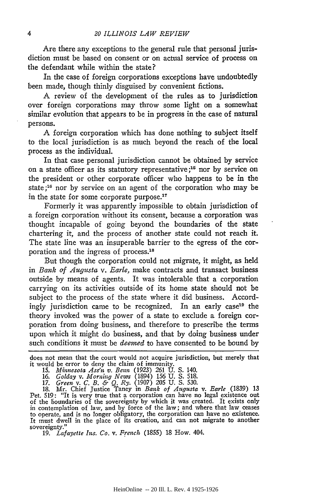Are there any exceptions to the general rule that personal jurisdiction must be based on consent or on actual service of process on the defendant while within the state?

In the case of foreign corporations exceptions have undoubtedly been made, though thinly disguised by convenient fictions.

A review of the development of the rules as to jurisdiction over foreign corporations may throw some light on a somewhat similar evolution that appears to be in progress in the case of natural persons.

A foreign corporation which has done nothing to subject itself to the local jurisdiction is as much beyond the reach of the local process as the individual.

In that case personal jurisdiction cannot be obtained by service on a state officer as its statutory representative **;15** nor by service on the president or other corporate officer who happens to be in the state **;16** nor by service on an agent of the corporation who may be in the state for some corporate purpose.17

Formerly it was apparently impossible to obtain jurisdiction of a foreign corporation without its consent, because a corporation was thought incapable of going beyond the boundaries of the state chartering it, and the process **of** another state could not reach it. The state line was an insuperable barrier to the egress of the corporation and the ingress of process.<sup>18</sup>

But though the corporation could not migrate, it might, as held in *Bank of Augusta v. Earle,* make contracts and transact business outside by means of agents. It was intolerable that a corporation carrying on its activities outside of its home state should not be subject to the process of the state where it did business. Accordingly jurisdiction came to be recognized. In an early case<sup>19</sup> the theory invoked was the power of a state to exclude a foreign corporation from doing business, and therefore to prescribe the terms upon which it might do business, and that by doing business under such conditions it must be *deemed* to have consented to be bound by

does not mean that the court would not acquire jurisdiction, but merely that it would be error to deny the claim of immunity.

Pet. 519: "It is very true that a corporation can have no legal existence out of the boundaries of the sovereignty by which it was created. It exists only<br>in contemplation of law, and by force of the law; and where that law ceases<br>to operate, and is no longer obligatory, the corporation can have no It must dwell in the place of its creation, and can not migrate to another sovereignty."

19. *Lafayette Ins. Co. v. French* (1855) 18 How. 404.

<sup>15.</sup> *Minnesota Ass'n v. Bein* (1923) 261 U. S. 140. 16. *Golday v. Morning News* (1894) 156 U. S. 518.

<sup>17.</sup> *Green v. C. B. & Q. Ry.* (1907) 205 U. S. 530. 18. Mr. Chief Justice Taney in *Bank of Augusta v. Earle* (1839) 13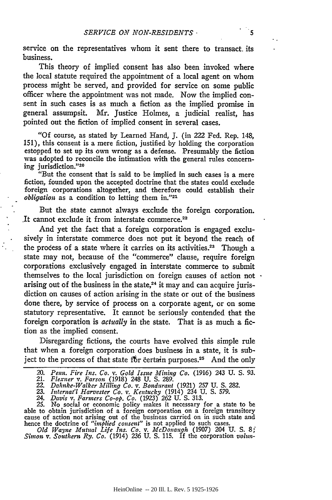service on the representatives whom it sent there to transact. its business.

This theory of implied consent has also been invoked where the local statute required the appointment of a local agent on whom process might be served, and provided for service on some public officer where the appointment was not made. Now the implied consent in such cases is as much a fiction as the implied promise in general assumpsit. Mr. Justice Holmes, a judicial realist, has pointed out the fiction of implied consent in several cases.

"Of course, as stated by Learned Hand, J. (in 222 Fed. Rep. 148, 151), this consent is a mere fiction, justified by holding the corporation estopped to set up its own wrong as a defense. Presumably the fiction was adopted to reconcile the intimation with the general rules concerning jurisdiction."<sup>20</sup>

"But the consent that is said to be implied in such cases is a mere fiction, founded upon the accepted doctrine that the states could exclude foreign corporations altogether, and therefore could establish their *obligation* as a condition to letting them in."<sup>21</sup>

But the state cannot always exclude the foreign corporation. .It cannot exclude it from interstate commerce.22

And yet the fact that a foreign corporation is engaged exclusively in interstate commerce does not put it beyond the reach of the process of a state where it carries on its activities.<sup>23</sup> Though a state may not, because of the "commerce" clause, require foreign corporations exclusively engaged in interstate commerce to submit themselves to the local jurisdiction on foreign causes of action not arising out of the business in the state, $24$  it may and can acquire jurisdiction on causes of action arising in the state or out of the business done there, by service of process on a corporate agent, or on some statutory representative. It cannot be seriously contended that the foreign corporation is *actually* in the state. That is as much a fiction as the implied consent.

Disregarding fictions, the courts have evolved this simple rule that when a foreign corporation does business in a state, it is subject to the process of that state for certain purposes.<sup>25</sup> And the only

*Old Wayne Mutual Life Ins. Co. v. McDonaugh* (1907) 204 U. **S. 8;** *Simon v. Southern Ry. Co.* (1914) 236 **U.** S. 115. If the corporation *volun-*

*<sup>20.</sup> Penm. Fire Ins. Co. v. Gold Issue Mining Co.* (1916) 243 **U. S. 93.** 21. *Flexner v. Farson* (1918) 248 U. S. 289.

<sup>22.</sup> *Dahuke-Walker Mfilling Co. v. Bondurant* (1921) 257 U. **S.** 282. 23. *Internat'l Harvester Co. v. Kentucky* (1914) 234 U. S. 579.

<sup>24.</sup> *Davis v. Farmers Co-op. Co.* (1923) 262 U. **S.** 313.

<sup>25.</sup> No social or economic policy makes it necessary for a state to be able to obtain jurisdiction of a foreign corporation on a foreign transitory cause of action not arising out of the business carried on in such state and hence the doctrine of *"implied consent"* is not applied to such cases.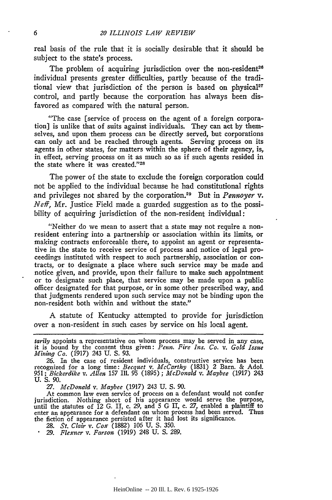real basis of the rule that it is socially desirable that it should be subject to the state's process.

The problem of acquiring jurisdiction over the non-resident<sup>26</sup> individual presents greater difficulties, partly because of the traditional view that jurisdiction of the person is based on physical<sup>27</sup> control, and partly because the corporation has always been disfavored as compared with the natural person.

"The case [service of process on the agent of a foreign corporation] is unlike that of suits against individuals. They can act by themselves, and upon them process can be directly served, but corporations can only act and be reached through agents. Serving process on its agents in other states, for matters within the sphere of their agency, is, in effect, serving process on it as much so as if such agents resided in the state where it was created."28

The power of the state to exclude the foreign corporation could not be applied to the individual because he bad constitutional rights and privileges not shared by the corporation.29 But in *Pennoyer v. Neff,* Mr. Justice Field made a guarded suggestion as to the possibility of acquiring jurisdiction of the non-resident individual:

"Neither do we mean to assert that a state may not require a nonresident entering into a partnership or association within its limits, or making contracts enforceable there, to appoint an agent or representative in the state to receive service of process and notice of legal proceedings instituted with respect to such partnership, association or contracts, or to designate a place where such service may be made and notice given, and provide, upon their failure to make such appointment or to designate such place, that service may be made upon a public officer designated for that purpose, or in some other prescribed way, and that judgments rendered upon such service may not be binding upon the non-resident both within and without the state."

A statute of Kentucky attempted to provide for jurisdiction over a non-resident in such cases by service on his local agent.

*tarily* appoints a representative on whom process may be served in any case, **it** is bound by the consent thus given: *Penn. Fire Ins. Co. v. Gold Issue Mining Co.* (1917) 243 **U. S. 93.**

*26.* In the case of resident individuals, constructive service has been recognized for a long time: *Becquet v. McCarthy* (1831) 2 Barn. & Adol. 951; *Bickerdike v. Allen 157* Ill. 95 (1895) ; *McDonald v. Maybee* (1917) 243 U. S. **90.**

*27. McDonald v. Maybee* (1917) 243 **U. S. 90.**

At common law even service of process on a defendant would not confer jurisdiction. Nothing short of his appearance would serve the purpose, until the statutes of 12 G. II, c. 29, and 5 G II, c. *27,* enabled a plaintiff to enter an appearance for a defendant on whom process had been served. Thus the fiction of appearance persisted after it had lost its significance

**28.** *St. Clair v.* Cox (1882) 106 **U.** S. 350.

*29. Flexner v. Farson* (1919) 248 U. S. *289.*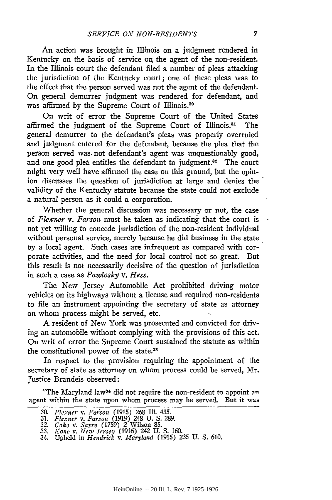An action was brought in Illinois on a judgment rendered in Kentucky on the basis of service on the agent of the non-resident. In the Illinois court the defendant filed a number of pleas attacking the jurisdiction of the Kentucky court; one of these pleas was to the effect that the person served was not the agent of the defendant. On general demurrer judgment was rendered for defendant, and was affirmed by the Supreme Court of Illinois.<sup>30</sup>

On writ of error the Supreme Court of the United States affirmed the judgment of the Supreme Court of Illinois.<sup>31</sup> The general demurrer to the defendant's pleas was properly overruled and judgment entered for the defendant, because the plea that the person served was. not defendant's agent was unquestionably good, and one good plea entitles the defendant to judgment.<sup>32</sup> The court might very well have affirmed the case on this ground, but the opinion discusses the question of jurisdiction at large and denies the validity of the Kentucky statute because the state could not exclude a natural person as it could a corporation.

Whether the general discussion was necessary or not, the case of *Flexner v. Farson* must be taken as indicating that the court is not yet willing to concede jurisdiction of the non-resident individual without personal service, merely because he did business in the state by a local agent. Such cases are infrequent as compared with corporate activities, and the need **for** local control not so great. But this result is not necessarily decisive of the question of jurisdiction in such a case as *Pawlosky v. Hess.*

The New Jersey Automobile Act prohibited driving motor vehicles on its highways without a license and required non-residents to file an instrument appointing the secretary of state as attorney on whom process might be served, etc. **I**

A resident of New York was prosecuted and convicted for driving an automobile without complying with the provisions of this act. On writ of error the Supreme Court sustained the statute as within the constitutional power of the state.33

In respect to the provision requiring the appointment of the secretary of state as attorney on whom process could be served, Mr. Justice Brandeis observed:

"The Maryland law34 did not require the non-resident to appoint *an* agent within the state upon whom process may be served. But it was

<sup>30.</sup> *Flexner v. Farson (*1915) 268 Ill. 435.<br>31. *Flexner v. Farson (*1919) 248 U. S. 289.

*<sup>32.</sup> Coke v. Sayre* (1759) *2* Wilson 85.

**<sup>33.</sup>** *Kane v.* New *Jersey* (1916) 242 U. S. 160. 34. Upheld in *Hendrick v. Maryland* (1915) 235 U. S. 610.